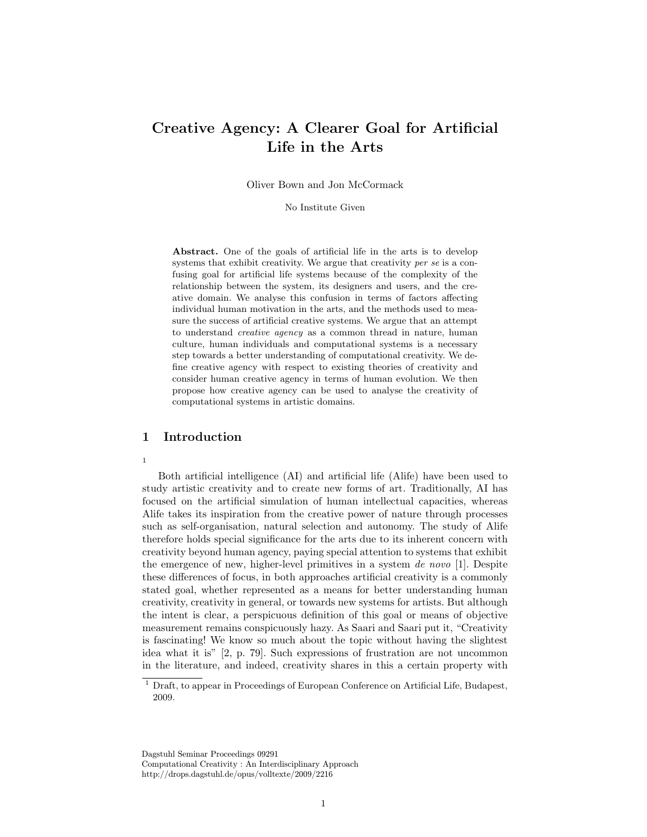# Creative Agency: A Clearer Goal for Artificial Life in the Arts

Oliver Bown and Jon McCormack

No Institute Given

Abstract. One of the goals of artificial life in the arts is to develop systems that exhibit creativity. We argue that creativity per se is a confusing goal for artificial life systems because of the complexity of the relationship between the system, its designers and users, and the creative domain. We analyse this confusion in terms of factors affecting individual human motivation in the arts, and the methods used to measure the success of artificial creative systems. We argue that an attempt to understand creative agency as a common thread in nature, human culture, human individuals and computational systems is a necessary step towards a better understanding of computational creativity. We define creative agency with respect to existing theories of creativity and consider human creative agency in terms of human evolution. We then propose how creative agency can be used to analyse the creativity of computational systems in artistic domains.

#### 1 Introduction

1

Both artificial intelligence (AI) and artificial life (Alife) have been used to study artistic creativity and to create new forms of art. Traditionally, AI has focused on the artificial simulation of human intellectual capacities, whereas Alife takes its inspiration from the creative power of nature through processes such as self-organisation, natural selection and autonomy. The study of Alife therefore holds special significance for the arts due to its inherent concern with creativity beyond human agency, paying special attention to systems that exhibit the emergence of new, higher-level primitives in a system de novo [1]. Despite these differences of focus, in both approaches artificial creativity is a commonly stated goal, whether represented as a means for better understanding human creativity, creativity in general, or towards new systems for artists. But although the intent is clear, a perspicuous definition of this goal or means of objective measurement remains conspicuously hazy. As Saari and Saari put it, "Creativity is fascinating! We know so much about the topic without having the slightest idea what it is" [2, p. 79]. Such expressions of frustration are not uncommon in the literature, and indeed, creativity shares in this a certain property with

Dagstuhl Seminar Proceedings 09291

Computational Creativity : An Interdisciplinary Approach

 $^{\rm 1}$  Draft, to appear in Proceedings of European Conference on Artificial Life, Budapest, 2009.

http://drops.dagstuhl.de/opus/volltexte/2009/2216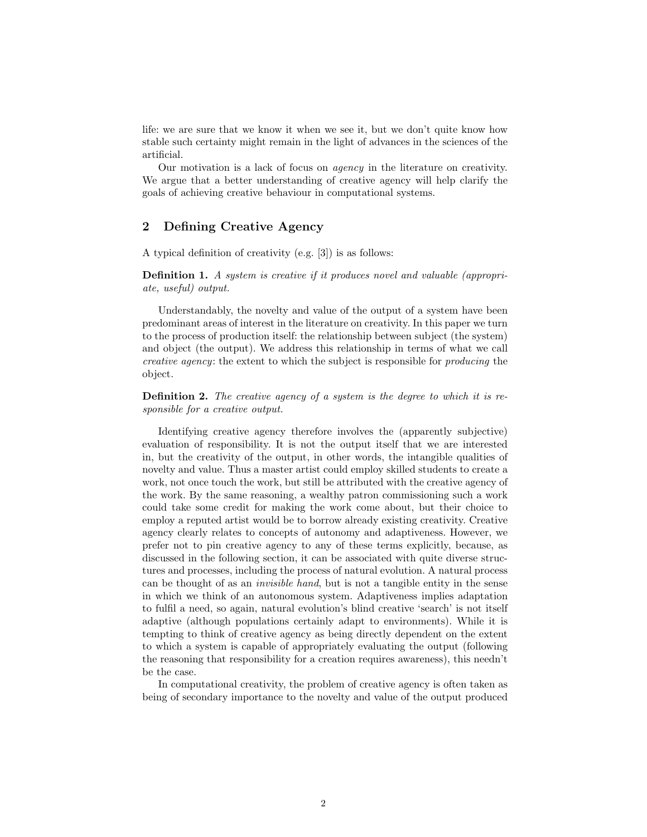life: we are sure that we know it when we see it, but we don't quite know how stable such certainty might remain in the light of advances in the sciences of the artificial.

Our motivation is a lack of focus on agency in the literature on creativity. We argue that a better understanding of creative agency will help clarify the goals of achieving creative behaviour in computational systems.

### 2 Defining Creative Agency

A typical definition of creativity (e.g. [3]) is as follows:

Definition 1. A system is creative if it produces novel and valuable (appropriate, useful) output.

Understandably, the novelty and value of the output of a system have been predominant areas of interest in the literature on creativity. In this paper we turn to the process of production itself: the relationship between subject (the system) and object (the output). We address this relationship in terms of what we call creative agency: the extent to which the subject is responsible for producing the object.

**Definition 2.** The creative agency of a system is the degree to which it is responsible for a creative output.

Identifying creative agency therefore involves the (apparently subjective) evaluation of responsibility. It is not the output itself that we are interested in, but the creativity of the output, in other words, the intangible qualities of novelty and value. Thus a master artist could employ skilled students to create a work, not once touch the work, but still be attributed with the creative agency of the work. By the same reasoning, a wealthy patron commissioning such a work could take some credit for making the work come about, but their choice to employ a reputed artist would be to borrow already existing creativity. Creative agency clearly relates to concepts of autonomy and adaptiveness. However, we prefer not to pin creative agency to any of these terms explicitly, because, as discussed in the following section, it can be associated with quite diverse structures and processes, including the process of natural evolution. A natural process can be thought of as an invisible hand, but is not a tangible entity in the sense in which we think of an autonomous system. Adaptiveness implies adaptation to fulfil a need, so again, natural evolution's blind creative 'search' is not itself adaptive (although populations certainly adapt to environments). While it is tempting to think of creative agency as being directly dependent on the extent to which a system is capable of appropriately evaluating the output (following the reasoning that responsibility for a creation requires awareness), this needn't be the case.

In computational creativity, the problem of creative agency is often taken as being of secondary importance to the novelty and value of the output produced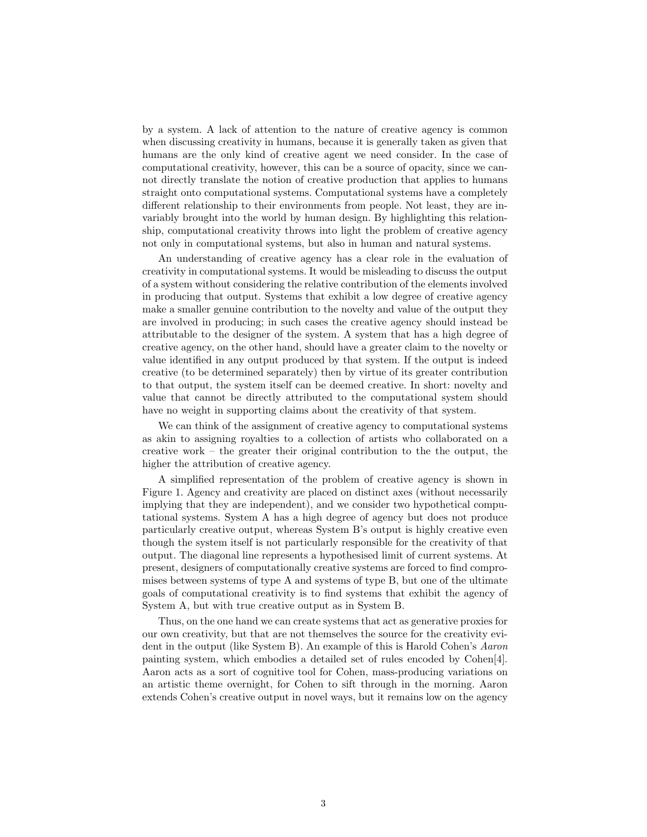by a system. A lack of attention to the nature of creative agency is common when discussing creativity in humans, because it is generally taken as given that humans are the only kind of creative agent we need consider. In the case of computational creativity, however, this can be a source of opacity, since we cannot directly translate the notion of creative production that applies to humans straight onto computational systems. Computational systems have a completely different relationship to their environments from people. Not least, they are invariably brought into the world by human design. By highlighting this relationship, computational creativity throws into light the problem of creative agency not only in computational systems, but also in human and natural systems.

An understanding of creative agency has a clear role in the evaluation of creativity in computational systems. It would be misleading to discuss the output of a system without considering the relative contribution of the elements involved in producing that output. Systems that exhibit a low degree of creative agency make a smaller genuine contribution to the novelty and value of the output they are involved in producing; in such cases the creative agency should instead be attributable to the designer of the system. A system that has a high degree of creative agency, on the other hand, should have a greater claim to the novelty or value identified in any output produced by that system. If the output is indeed creative (to be determined separately) then by virtue of its greater contribution to that output, the system itself can be deemed creative. In short: novelty and value that cannot be directly attributed to the computational system should have no weight in supporting claims about the creativity of that system.

We can think of the assignment of creative agency to computational systems as akin to assigning royalties to a collection of artists who collaborated on a creative work – the greater their original contribution to the the output, the higher the attribution of creative agency.

A simplified representation of the problem of creative agency is shown in Figure 1. Agency and creativity are placed on distinct axes (without necessarily implying that they are independent), and we consider two hypothetical computational systems. System A has a high degree of agency but does not produce particularly creative output, whereas System B's output is highly creative even though the system itself is not particularly responsible for the creativity of that output. The diagonal line represents a hypothesised limit of current systems. At present, designers of computationally creative systems are forced to find compromises between systems of type A and systems of type B, but one of the ultimate goals of computational creativity is to find systems that exhibit the agency of System A, but with true creative output as in System B.

Thus, on the one hand we can create systems that act as generative proxies for our own creativity, but that are not themselves the source for the creativity evident in the output (like System B). An example of this is Harold Cohen's Aaron painting system, which embodies a detailed set of rules encoded by Cohen[4]. Aaron acts as a sort of cognitive tool for Cohen, mass-producing variations on an artistic theme overnight, for Cohen to sift through in the morning. Aaron extends Cohen's creative output in novel ways, but it remains low on the agency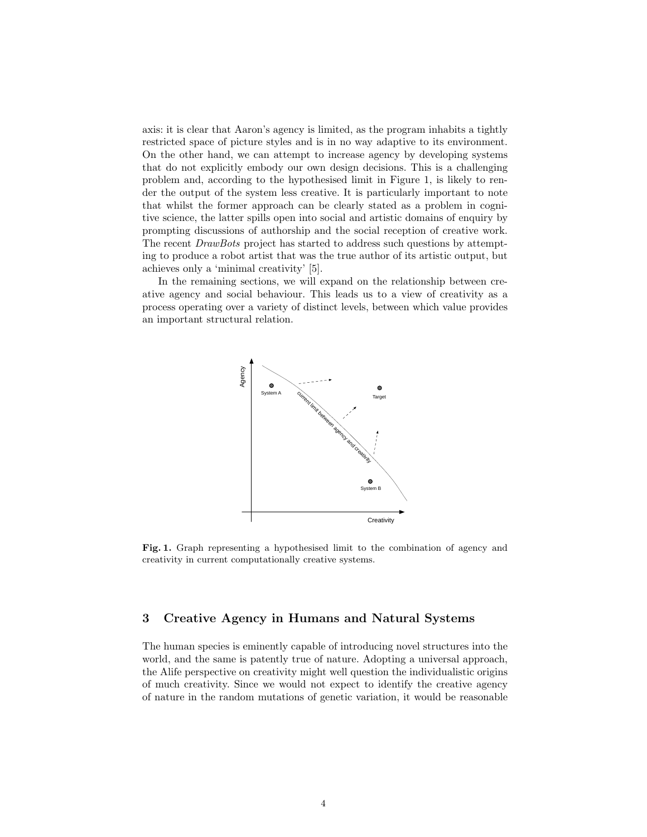axis: it is clear that Aaron's agency is limited, as the program inhabits a tightly restricted space of picture styles and is in no way adaptive to its environment. On the other hand, we can attempt to increase agency by developing systems that do not explicitly embody our own design decisions. This is a challenging problem and, according to the hypothesised limit in Figure 1, is likely to render the output of the system less creative. It is particularly important to note that whilst the former approach can be clearly stated as a problem in cognitive science, the latter spills open into social and artistic domains of enquiry by prompting discussions of authorship and the social reception of creative work. The recent DrawBots project has started to address such questions by attempting to produce a robot artist that was the true author of its artistic output, but achieves only a 'minimal creativity' [5].

In the remaining sections, we will expand on the relationship between creative agency and social behaviour. This leads us to a view of creativity as a process operating over a variety of distinct levels, between which value provides an important structural relation.



Fig. 1. Graph representing a hypothesised limit to the combination of agency and creativity in current computationally creative systems.

#### 3 Creative Agency in Humans and Natural Systems

The human species is eminently capable of introducing novel structures into the world, and the same is patently true of nature. Adopting a universal approach, the Alife perspective on creativity might well question the individualistic origins of much creativity. Since we would not expect to identify the creative agency of nature in the random mutations of genetic variation, it would be reasonable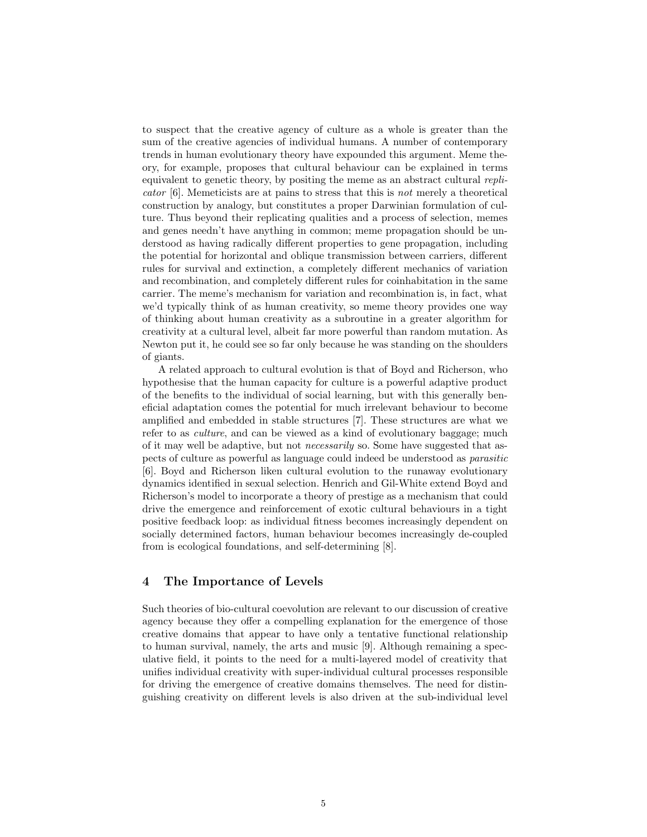to suspect that the creative agency of culture as a whole is greater than the sum of the creative agencies of individual humans. A number of contemporary trends in human evolutionary theory have expounded this argument. Meme theory, for example, proposes that cultural behaviour can be explained in terms equivalent to genetic theory, by positing the meme as an abstract cultural replicator [6]. Memeticists are at pains to stress that this is not merely a theoretical construction by analogy, but constitutes a proper Darwinian formulation of culture. Thus beyond their replicating qualities and a process of selection, memes and genes needn't have anything in common; meme propagation should be understood as having radically different properties to gene propagation, including the potential for horizontal and oblique transmission between carriers, different rules for survival and extinction, a completely different mechanics of variation and recombination, and completely different rules for coinhabitation in the same carrier. The meme's mechanism for variation and recombination is, in fact, what we'd typically think of as human creativity, so meme theory provides one way of thinking about human creativity as a subroutine in a greater algorithm for creativity at a cultural level, albeit far more powerful than random mutation. As Newton put it, he could see so far only because he was standing on the shoulders of giants.

A related approach to cultural evolution is that of Boyd and Richerson, who hypothesise that the human capacity for culture is a powerful adaptive product of the benefits to the individual of social learning, but with this generally beneficial adaptation comes the potential for much irrelevant behaviour to become amplified and embedded in stable structures [7]. These structures are what we refer to as culture, and can be viewed as a kind of evolutionary baggage; much of it may well be adaptive, but not necessarily so. Some have suggested that aspects of culture as powerful as language could indeed be understood as parasitic [6]. Boyd and Richerson liken cultural evolution to the runaway evolutionary dynamics identified in sexual selection. Henrich and Gil-White extend Boyd and Richerson's model to incorporate a theory of prestige as a mechanism that could drive the emergence and reinforcement of exotic cultural behaviours in a tight positive feedback loop: as individual fitness becomes increasingly dependent on socially determined factors, human behaviour becomes increasingly de-coupled from is ecological foundations, and self-determining [8].

#### 4 The Importance of Levels

Such theories of bio-cultural coevolution are relevant to our discussion of creative agency because they offer a compelling explanation for the emergence of those creative domains that appear to have only a tentative functional relationship to human survival, namely, the arts and music [9]. Although remaining a speculative field, it points to the need for a multi-layered model of creativity that unifies individual creativity with super-individual cultural processes responsible for driving the emergence of creative domains themselves. The need for distinguishing creativity on different levels is also driven at the sub-individual level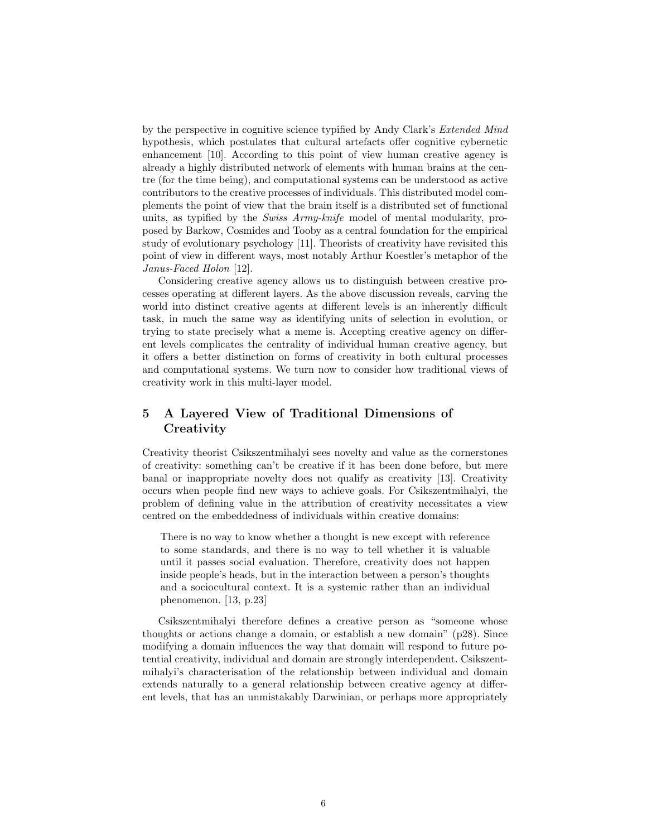by the perspective in cognitive science typified by Andy Clark's Extended Mind hypothesis, which postulates that cultural artefacts offer cognitive cybernetic enhancement [10]. According to this point of view human creative agency is already a highly distributed network of elements with human brains at the centre (for the time being), and computational systems can be understood as active contributors to the creative processes of individuals. This distributed model complements the point of view that the brain itself is a distributed set of functional units, as typified by the Swiss Army-knife model of mental modularity, proposed by Barkow, Cosmides and Tooby as a central foundation for the empirical study of evolutionary psychology [11]. Theorists of creativity have revisited this point of view in different ways, most notably Arthur Koestler's metaphor of the Janus-Faced Holon [12].

Considering creative agency allows us to distinguish between creative processes operating at different layers. As the above discussion reveals, carving the world into distinct creative agents at different levels is an inherently difficult task, in much the same way as identifying units of selection in evolution, or trying to state precisely what a meme is. Accepting creative agency on different levels complicates the centrality of individual human creative agency, but it offers a better distinction on forms of creativity in both cultural processes and computational systems. We turn now to consider how traditional views of creativity work in this multi-layer model.

## 5 A Layered View of Traditional Dimensions of **Creativity**

Creativity theorist Csikszentmihalyi sees novelty and value as the cornerstones of creativity: something can't be creative if it has been done before, but mere banal or inappropriate novelty does not qualify as creativity [13]. Creativity occurs when people find new ways to achieve goals. For Csikszentmihalyi, the problem of defining value in the attribution of creativity necessitates a view centred on the embeddedness of individuals within creative domains:

There is no way to know whether a thought is new except with reference to some standards, and there is no way to tell whether it is valuable until it passes social evaluation. Therefore, creativity does not happen inside people's heads, but in the interaction between a person's thoughts and a sociocultural context. It is a systemic rather than an individual phenomenon. [13, p.23]

Csikszentmihalyi therefore defines a creative person as "someone whose thoughts or actions change a domain, or establish a new domain" (p28). Since modifying a domain influences the way that domain will respond to future potential creativity, individual and domain are strongly interdependent. Csikszentmihalyi's characterisation of the relationship between individual and domain extends naturally to a general relationship between creative agency at different levels, that has an unmistakably Darwinian, or perhaps more appropriately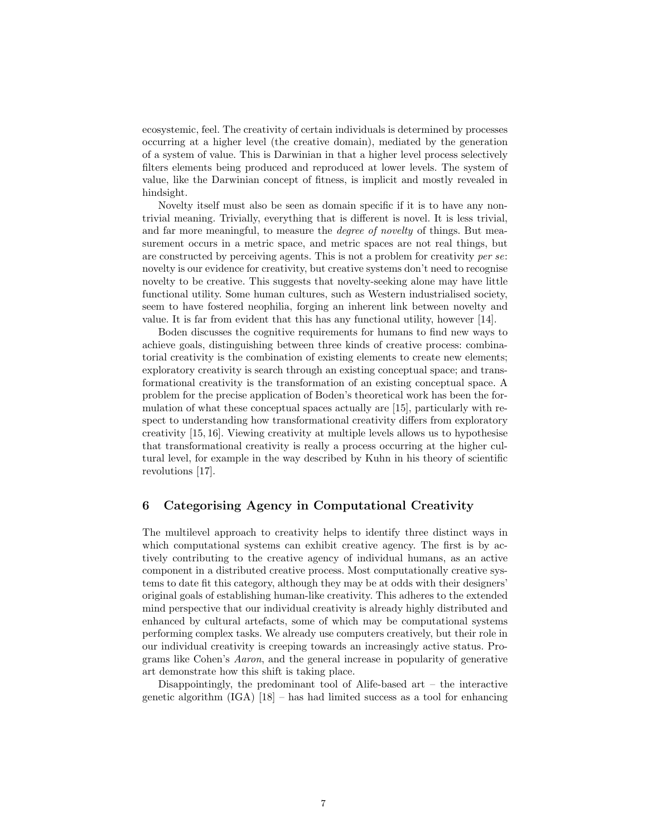ecosystemic, feel. The creativity of certain individuals is determined by processes occurring at a higher level (the creative domain), mediated by the generation of a system of value. This is Darwinian in that a higher level process selectively filters elements being produced and reproduced at lower levels. The system of value, like the Darwinian concept of fitness, is implicit and mostly revealed in hindsight.

Novelty itself must also be seen as domain specific if it is to have any nontrivial meaning. Trivially, everything that is different is novel. It is less trivial, and far more meaningful, to measure the degree of novelty of things. But measurement occurs in a metric space, and metric spaces are not real things, but are constructed by perceiving agents. This is not a problem for creativity per se: novelty is our evidence for creativity, but creative systems don't need to recognise novelty to be creative. This suggests that novelty-seeking alone may have little functional utility. Some human cultures, such as Western industrialised society, seem to have fostered neophilia, forging an inherent link between novelty and value. It is far from evident that this has any functional utility, however [14].

Boden discusses the cognitive requirements for humans to find new ways to achieve goals, distinguishing between three kinds of creative process: combinatorial creativity is the combination of existing elements to create new elements; exploratory creativity is search through an existing conceptual space; and transformational creativity is the transformation of an existing conceptual space. A problem for the precise application of Boden's theoretical work has been the formulation of what these conceptual spaces actually are [15], particularly with respect to understanding how transformational creativity differs from exploratory creativity [15, 16]. Viewing creativity at multiple levels allows us to hypothesise that transformational creativity is really a process occurring at the higher cultural level, for example in the way described by Kuhn in his theory of scientific revolutions [17].

## 6 Categorising Agency in Computational Creativity

The multilevel approach to creativity helps to identify three distinct ways in which computational systems can exhibit creative agency. The first is by actively contributing to the creative agency of individual humans, as an active component in a distributed creative process. Most computationally creative systems to date fit this category, although they may be at odds with their designers' original goals of establishing human-like creativity. This adheres to the extended mind perspective that our individual creativity is already highly distributed and enhanced by cultural artefacts, some of which may be computational systems performing complex tasks. We already use computers creatively, but their role in our individual creativity is creeping towards an increasingly active status. Programs like Cohen's Aaron, and the general increase in popularity of generative art demonstrate how this shift is taking place.

Disappointingly, the predominant tool of Alife-based art – the interactive genetic algorithm  $(IGA)$  [18] – has had limited success as a tool for enhancing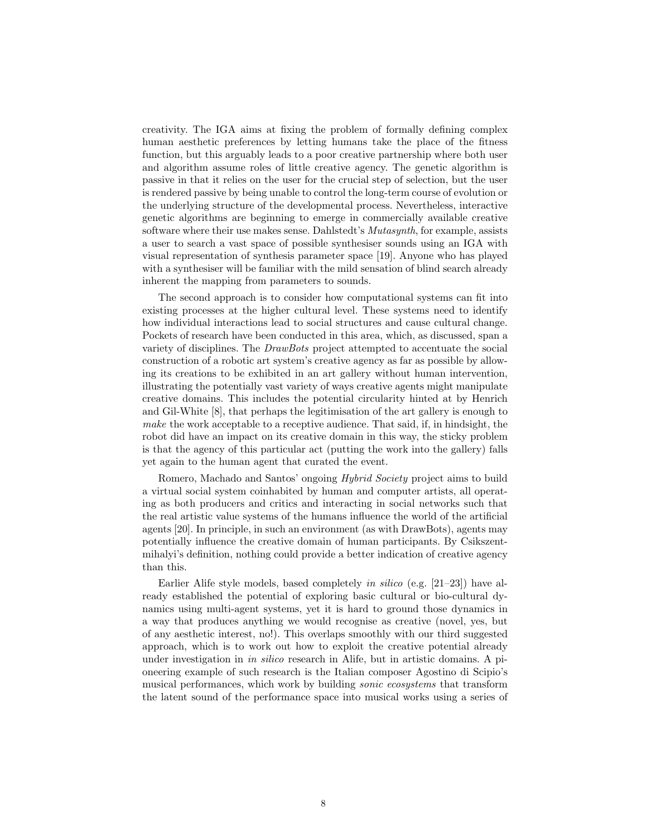creativity. The IGA aims at fixing the problem of formally defining complex human aesthetic preferences by letting humans take the place of the fitness function, but this arguably leads to a poor creative partnership where both user and algorithm assume roles of little creative agency. The genetic algorithm is passive in that it relies on the user for the crucial step of selection, but the user is rendered passive by being unable to control the long-term course of evolution or the underlying structure of the developmental process. Nevertheless, interactive genetic algorithms are beginning to emerge in commercially available creative software where their use makes sense. Dahlstedt's *Mutasynth*, for example, assists a user to search a vast space of possible synthesiser sounds using an IGA with visual representation of synthesis parameter space [19]. Anyone who has played with a synthesiser will be familiar with the mild sensation of blind search already inherent the mapping from parameters to sounds.

The second approach is to consider how computational systems can fit into existing processes at the higher cultural level. These systems need to identify how individual interactions lead to social structures and cause cultural change. Pockets of research have been conducted in this area, which, as discussed, span a variety of disciplines. The DrawBots project attempted to accentuate the social construction of a robotic art system's creative agency as far as possible by allowing its creations to be exhibited in an art gallery without human intervention, illustrating the potentially vast variety of ways creative agents might manipulate creative domains. This includes the potential circularity hinted at by Henrich and Gil-White [8], that perhaps the legitimisation of the art gallery is enough to make the work acceptable to a receptive audience. That said, if, in hindsight, the robot did have an impact on its creative domain in this way, the sticky problem is that the agency of this particular act (putting the work into the gallery) falls yet again to the human agent that curated the event.

Romero, Machado and Santos' ongoing Hybrid Society project aims to build a virtual social system coinhabited by human and computer artists, all operating as both producers and critics and interacting in social networks such that the real artistic value systems of the humans influence the world of the artificial agents [20]. In principle, in such an environment (as with DrawBots), agents may potentially influence the creative domain of human participants. By Csikszentmihalyi's definition, nothing could provide a better indication of creative agency than this.

Earlier Alife style models, based completely in silico (e.g.  $[21-23]$ ) have already established the potential of exploring basic cultural or bio-cultural dynamics using multi-agent systems, yet it is hard to ground those dynamics in a way that produces anything we would recognise as creative (novel, yes, but of any aesthetic interest, no!). This overlaps smoothly with our third suggested approach, which is to work out how to exploit the creative potential already under investigation in in silico research in Alife, but in artistic domains. A pioneering example of such research is the Italian composer Agostino di Scipio's musical performances, which work by building sonic ecosystems that transform the latent sound of the performance space into musical works using a series of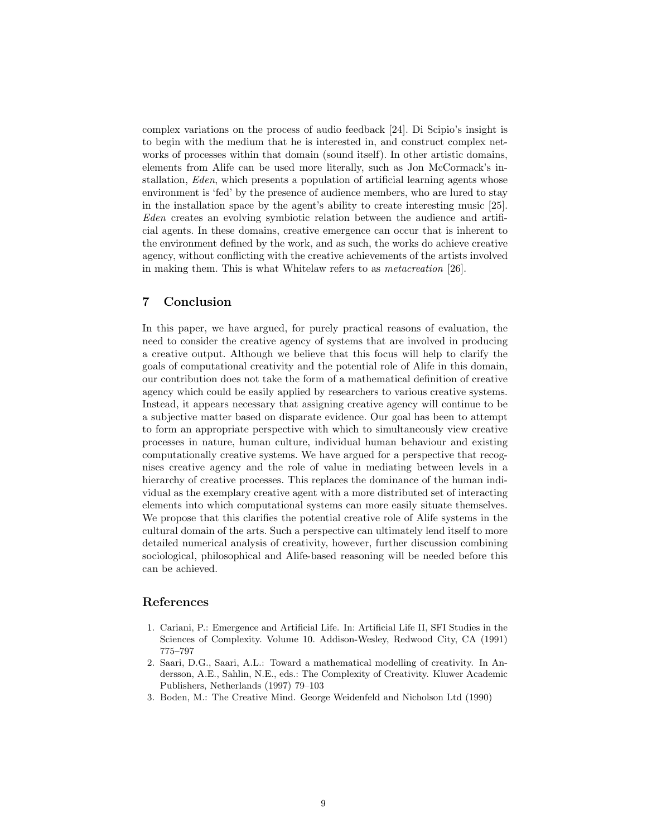complex variations on the process of audio feedback [24]. Di Scipio's insight is to begin with the medium that he is interested in, and construct complex networks of processes within that domain (sound itself). In other artistic domains, elements from Alife can be used more literally, such as Jon McCormack's installation, Eden, which presents a population of artificial learning agents whose environment is 'fed' by the presence of audience members, who are lured to stay in the installation space by the agent's ability to create interesting music [25]. Eden creates an evolving symbiotic relation between the audience and artificial agents. In these domains, creative emergence can occur that is inherent to the environment defined by the work, and as such, the works do achieve creative agency, without conflicting with the creative achievements of the artists involved in making them. This is what Whitelaw refers to as metacreation [26].

## 7 Conclusion

In this paper, we have argued, for purely practical reasons of evaluation, the need to consider the creative agency of systems that are involved in producing a creative output. Although we believe that this focus will help to clarify the goals of computational creativity and the potential role of Alife in this domain, our contribution does not take the form of a mathematical definition of creative agency which could be easily applied by researchers to various creative systems. Instead, it appears necessary that assigning creative agency will continue to be a subjective matter based on disparate evidence. Our goal has been to attempt to form an appropriate perspective with which to simultaneously view creative processes in nature, human culture, individual human behaviour and existing computationally creative systems. We have argued for a perspective that recognises creative agency and the role of value in mediating between levels in a hierarchy of creative processes. This replaces the dominance of the human individual as the exemplary creative agent with a more distributed set of interacting elements into which computational systems can more easily situate themselves. We propose that this clarifies the potential creative role of Alife systems in the cultural domain of the arts. Such a perspective can ultimately lend itself to more detailed numerical analysis of creativity, however, further discussion combining sociological, philosophical and Alife-based reasoning will be needed before this can be achieved.

#### References

- 1. Cariani, P.: Emergence and Artificial Life. In: Artificial Life II, SFI Studies in the Sciences of Complexity. Volume 10. Addison-Wesley, Redwood City, CA (1991) 775–797
- 2. Saari, D.G., Saari, A.L.: Toward a mathematical modelling of creativity. In Andersson, A.E., Sahlin, N.E., eds.: The Complexity of Creativity. Kluwer Academic Publishers, Netherlands (1997) 79–103
- 3. Boden, M.: The Creative Mind. George Weidenfeld and Nicholson Ltd (1990)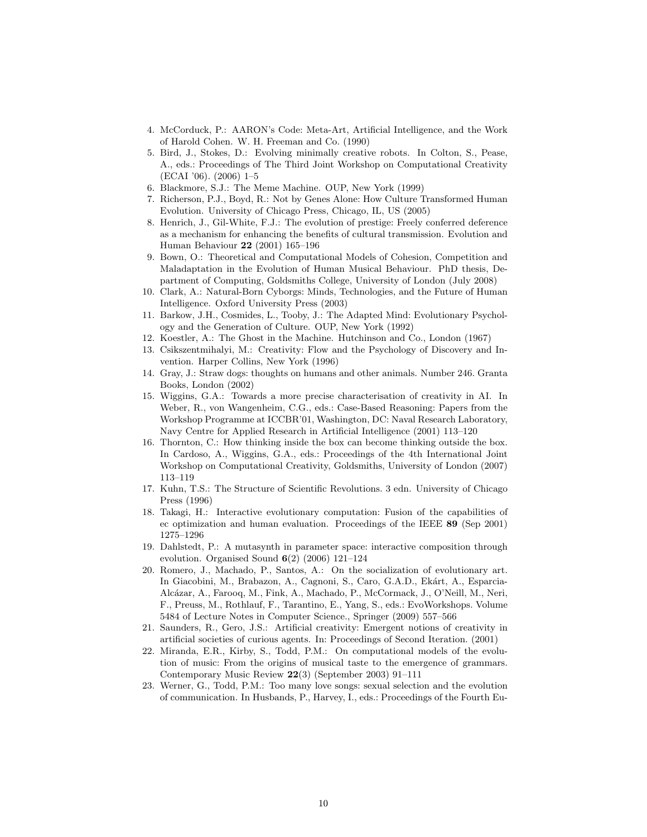- 4. McCorduck, P.: AARON's Code: Meta-Art, Artificial Intelligence, and the Work of Harold Cohen. W. H. Freeman and Co. (1990)
- 5. Bird, J., Stokes, D.: Evolving minimally creative robots. In Colton, S., Pease, A., eds.: Proceedings of The Third Joint Workshop on Computational Creativity (ECAI '06). (2006) 1–5
- 6. Blackmore, S.J.: The Meme Machine. OUP, New York (1999)
- 7. Richerson, P.J., Boyd, R.: Not by Genes Alone: How Culture Transformed Human Evolution. University of Chicago Press, Chicago, IL, US (2005)
- 8. Henrich, J., Gil-White, F.J.: The evolution of prestige: Freely conferred deference as a mechanism for enhancing the benefits of cultural transmission. Evolution and Human Behaviour 22 (2001) 165–196
- 9. Bown, O.: Theoretical and Computational Models of Cohesion, Competition and Maladaptation in the Evolution of Human Musical Behaviour. PhD thesis, Department of Computing, Goldsmiths College, University of London (July 2008)
- 10. Clark, A.: Natural-Born Cyborgs: Minds, Technologies, and the Future of Human Intelligence. Oxford University Press (2003)
- 11. Barkow, J.H., Cosmides, L., Tooby, J.: The Adapted Mind: Evolutionary Psychology and the Generation of Culture. OUP, New York (1992)
- 12. Koestler, A.: The Ghost in the Machine. Hutchinson and Co., London (1967)
- 13. Csikszentmihalyi, M.: Creativity: Flow and the Psychology of Discovery and Invention. Harper Collins, New York (1996)
- 14. Gray, J.: Straw dogs: thoughts on humans and other animals. Number 246. Granta Books, London (2002)
- 15. Wiggins, G.A.: Towards a more precise characterisation of creativity in AI. In Weber, R., von Wangenheim, C.G., eds.: Case-Based Reasoning: Papers from the Workshop Programme at ICCBR'01, Washington, DC: Naval Research Laboratory, Navy Centre for Applied Research in Artificial Intelligence (2001) 113–120
- 16. Thornton, C.: How thinking inside the box can become thinking outside the box. In Cardoso, A., Wiggins, G.A., eds.: Proceedings of the 4th International Joint Workshop on Computational Creativity, Goldsmiths, University of London (2007) 113–119
- 17. Kuhn, T.S.: The Structure of Scientific Revolutions. 3 edn. University of Chicago Press (1996)
- 18. Takagi, H.: Interactive evolutionary computation: Fusion of the capabilities of ec optimization and human evaluation. Proceedings of the IEEE 89 (Sep 2001) 1275–1296
- 19. Dahlstedt, P.: A mutasynth in parameter space: interactive composition through evolution. Organised Sound  $6(2)$  (2006) 121–124
- 20. Romero, J., Machado, P., Santos, A.: On the socialization of evolutionary art. In Giacobini, M., Brabazon, A., Cagnoni, S., Caro, G.A.D., Ekárt, A., Esparcia-Alc´azar, A., Farooq, M., Fink, A., Machado, P., McCormack, J., O'Neill, M., Neri, F., Preuss, M., Rothlauf, F., Tarantino, E., Yang, S., eds.: EvoWorkshops. Volume 5484 of Lecture Notes in Computer Science., Springer (2009) 557–566
- 21. Saunders, R., Gero, J.S.: Artificial creativity: Emergent notions of creativity in artificial societies of curious agents. In: Proceedings of Second Iteration. (2001)
- 22. Miranda, E.R., Kirby, S., Todd, P.M.: On computational models of the evolution of music: From the origins of musical taste to the emergence of grammars. Contemporary Music Review 22(3) (September 2003) 91–111
- 23. Werner, G., Todd, P.M.: Too many love songs: sexual selection and the evolution of communication. In Husbands, P., Harvey, I., eds.: Proceedings of the Fourth Eu-